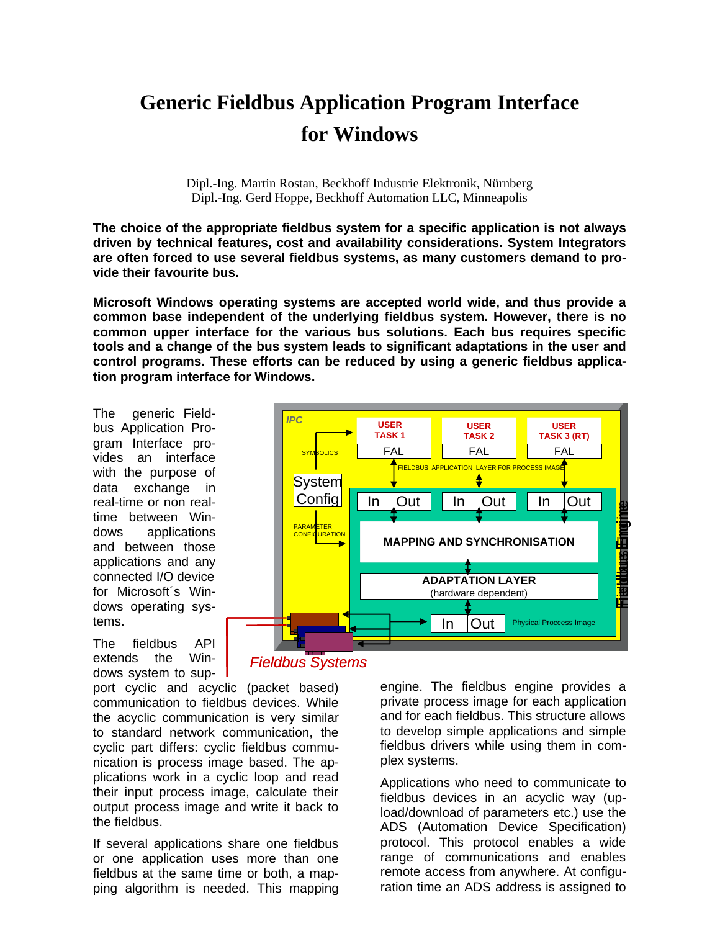# **Generic Fieldbus Application Program Interface for Windows**

Dipl.-Ing. Martin Rostan, Beckhoff Industrie Elektronik, Nürnberg Dipl.-Ing. Gerd Hoppe, Beckhoff Automation LLC, Minneapolis

**The choice of the appropriate fieldbus system for a specific application is not always driven by technical features, cost and availability considerations. System Integrators are often forced to use several fieldbus systems, as many customers demand to provide their favourite bus.**

**Microsoft Windows operating systems are accepted world wide, and thus provide a common base independent of the underlying fieldbus system. However, there is no common upper interface for the various bus solutions. Each bus requires specific tools and a change of the bus system leads to significant adaptations in the user and control programs. These efforts can be reduced by using a generic fieldbus application program interface for Windows.**

The generic Fieldbus Application Program Interface provides an interface with the purpose of data exchange in real-time or non realtime between Windows applications and between those applications and any connected I/O device for Microsoft´s Windows operating systems.

The fieldbus API extends the Windows system to sup-

port cyclic and acyclic (packet based) communication to fieldbus devices. While the acyclic communication is very similar to standard network communication, the cyclic part differs: cyclic fieldbus communication is process image based. The applications work in a cyclic loop and read their input process image, calculate their output process image and write it back to the fieldbus.

If several applications share one fieldbus or one application uses more than one fieldbus at the same time or both, a mapping algorithm is needed. This mapping



*Fieldbus Systems*

engine. The fieldbus engine provides a private process image for each application and for each fieldbus. This structure allows to develop simple applications and simple fieldbus drivers while using them in complex systems.

Applications who need to communicate to fieldbus devices in an acyclic way (upload/download of parameters etc.) use the ADS (Automation Device Specification) protocol. This protocol enables a wide range of communications and enables remote access from anywhere. At configuration time an ADS address is assigned to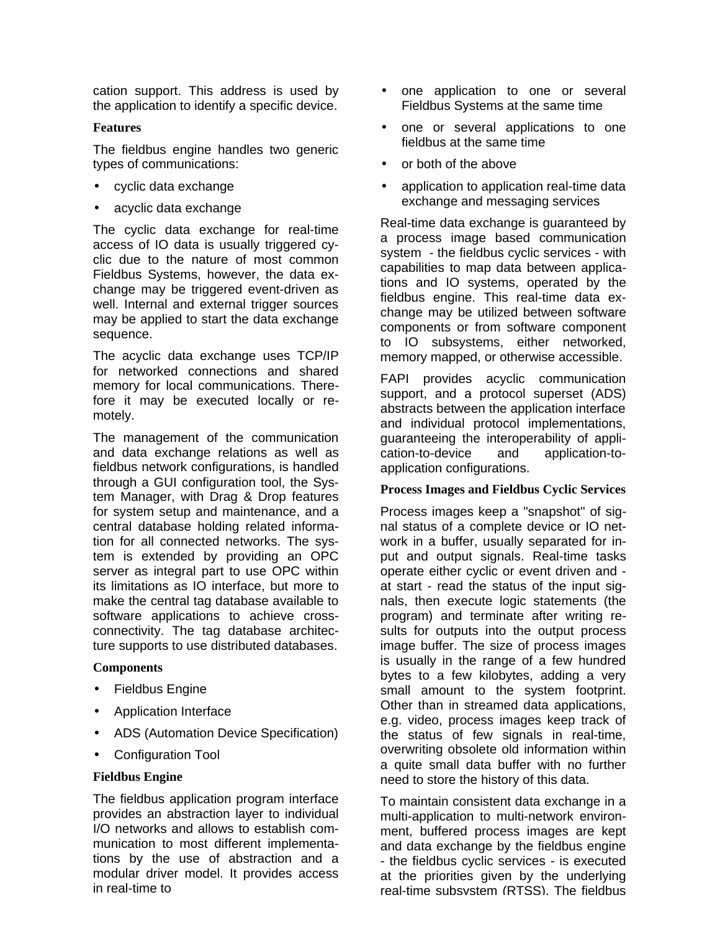cation support. This address is used by the application to identify a specific device.

# **Features**

The fieldbus engine handles two generic types of communications:

- cyclic data exchange
- acyclic data exchange

The cyclic data exchange for real-time access of IO data is usually triggered cyclic due to the nature of most common Fieldbus Systems, however, the data exchange may be triggered event-driven as well. Internal and external trigger sources may be applied to start the data exchange sequence.

The acyclic data exchange uses TCP/IP for networked connections and shared memory for local communications. Therefore it may be executed locally or remotely.

The management of the communication and data exchange relations as well as fieldbus network configurations, is handled through a GUI configuration tool, the System Manager, with Drag & Drop features for system setup and maintenance, and a central database holding related information for all connected networks. The system is extended by providing an OPC server as integral part to use OPC within its limitations as IO interface, but more to make the central tag database available to software applications to achieve crossconnectivity. The tag database architecture supports to use distributed databases.

# **Components**

- **Fieldbus Engine**
- Application Interface
- ADS (Automation Device Specification)
- Configuration Tool

# **Fieldbus Engine**

The fieldbus application program interface provides an abstraction layer to individual I/O networks and allows to establish communication to most different implementations by the use of abstraction and a modular driver model. It provides access in real-time to

- one application to one or several Fieldbus Systems at the same time
- one or several applications to one fieldbus at the same time
- or both of the above
- application to application real-time data exchange and messaging services

Real-time data exchange is guaranteed by a process image based communication system - the fieldbus cyclic services - with capabilities to map data between applications and IO systems, operated by the fieldbus engine. This real-time data exchange may be utilized between software components or from software component to IO subsystems, either networked, memory mapped, or otherwise accessible.

FAPI provides acyclic communication support, and a protocol superset (ADS) abstracts between the application interface and individual protocol implementations, guaranteeing the interoperability of application-to-device and application-toapplication configurations.

# **Process Images and Fieldbus Cyclic Services**

Process images keep a "snapshot" of signal status of a complete device or IO network in a buffer, usually separated for input and output signals. Real-time tasks operate either cyclic or event driven and at start - read the status of the input signals, then execute logic statements (the program) and terminate after writing results for outputs into the output process image buffer. The size of process images is usually in the range of a few hundred bytes to a few kilobytes, adding a very small amount to the system footprint. Other than in streamed data applications, e.g. video, process images keep track of the status of few signals in real-time, overwriting obsolete old information within a quite small data buffer with no further need to store the history of this data.

To maintain consistent data exchange in a multi-application to multi-network environment, buffered process images are kept and data exchange by the fieldbus engine - the fieldbus cyclic services - is executed at the priorities given by the underlying real-time subsystem (RTSS). The fieldbus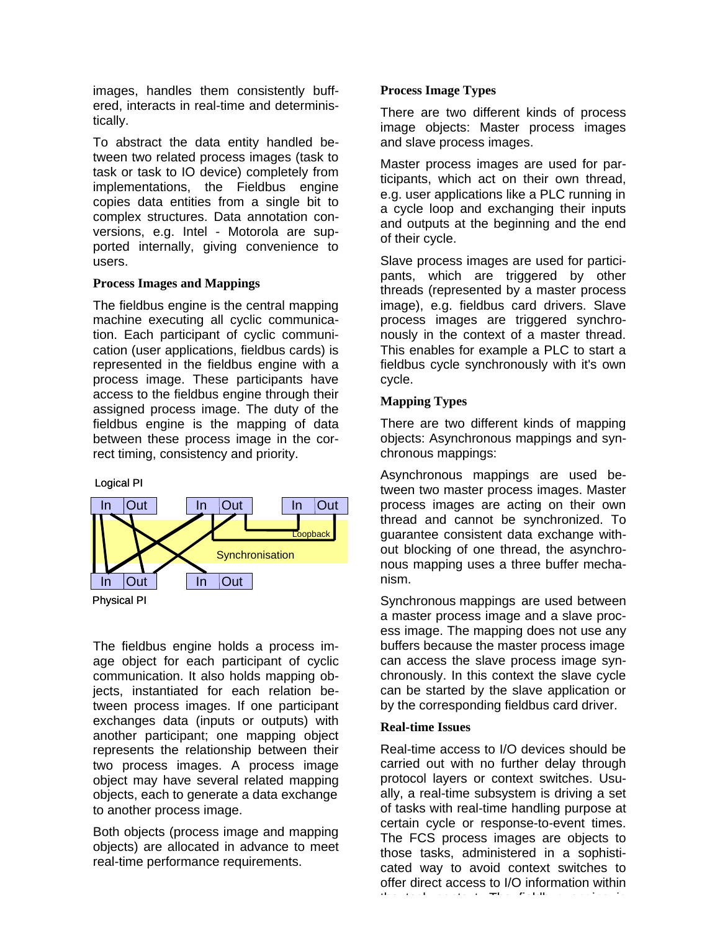images, handles them consistently buffered, interacts in real-time and deterministically.

To abstract the data entity handled between two related process images (task to task or task to IO device) completely from implementations, the Fieldbus engine copies data entities from a single bit to complex structures. Data annotation conversions, e.g. Intel - Motorola are supported internally, giving convenience to users.

# **Process Images and Mappings**

The fieldbus engine is the central mapping machine executing all cyclic communication. Each participant of cyclic communication (user applications, fieldbus cards) is represented in the fieldbus engine with a process image. These participants have access to the fieldbus engine through their assigned process image. The duty of the fieldbus engine is the mapping of data between these process image in the correct timing, consistency and priority.





The fieldbus engine holds a process image object for each participant of cyclic communication. It also holds mapping objects, instantiated for each relation between process images. If one participant exchanges data (inputs or outputs) with another participant; one mapping object represents the relationship between their two process images. A process image object may have several related mapping objects, each to generate a data exchange to another process image.

Both objects (process image and mapping objects) are allocated in advance to meet real-time performance requirements.

# **Process Image Types**

There are two different kinds of process image objects: Master process images and slave process images.

Master process images are used for participants, which act on their own thread, e.g. user applications like a PLC running in a cycle loop and exchanging their inputs and outputs at the beginning and the end of their cycle.

Slave process images are used for participants, which are triggered by other threads (represented by a master process image), e.g. fieldbus card drivers. Slave process images are triggered synchronously in the context of a master thread. This enables for example a PLC to start a fieldbus cycle synchronously with it's own cycle.

# **Mapping Types**

There are two different kinds of mapping objects: Asynchronous mappings and synchronous mappings:

Asynchronous mappings are used between two master process images. Master process images are acting on their own thread and cannot be synchronized. To guarantee consistent data exchange without blocking of one thread, the asynchronous mapping uses a three buffer mechanism.

Synchronous mappings are used between a master process image and a slave process image. The mapping does not use any buffers because the master process image can access the slave process image synchronously. In this context the slave cycle can be started by the slave application or by the corresponding fieldbus card driver.

# **Real-time Issues**

Real-time access to I/O devices should be carried out with no further delay through protocol layers or context switches. Usually, a real-time subsystem is driving a set of tasks with real-time handling purpose at certain cycle or response-to-event times. The FCS process images are objects to those tasks, administered in a sophisticated way to avoid context switches to offer direct access to I/O information within the task context. The fieldbus engine is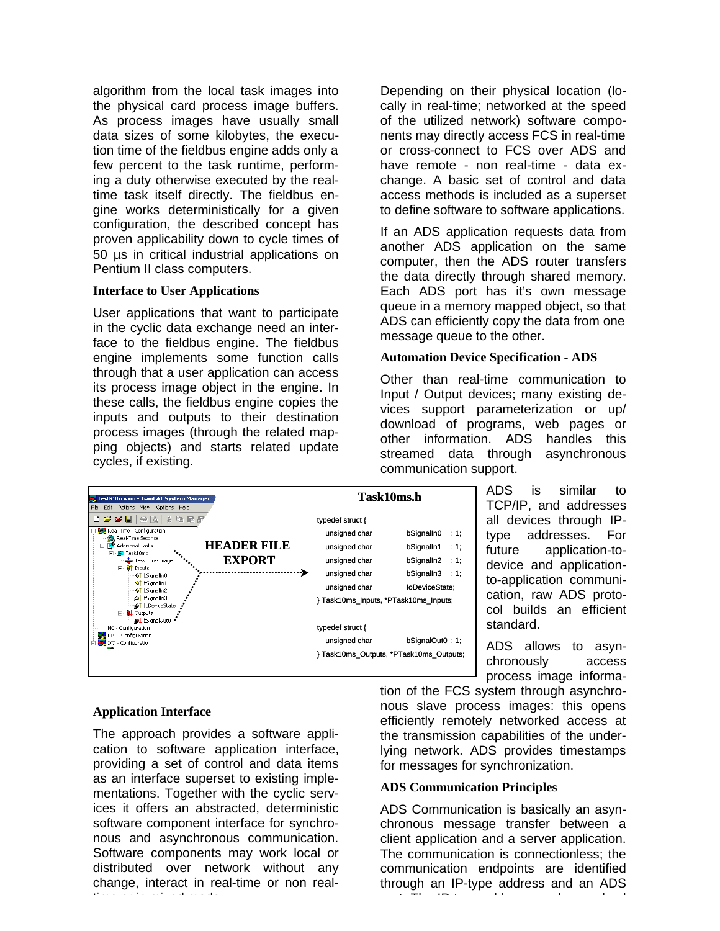algorithm from the local task images into the physical card process image buffers. As process images have usually small data sizes of some kilobytes, the execution time of the fieldbus engine adds only a few percent to the task runtime, performing a duty otherwise executed by the realtime task itself directly. The fieldbus engine works deterministically for a given configuration, the described concept has proven applicability down to cycle times of 50 µs in critical industrial applications on Pentium II class computers.

#### **Interface to User Applications**

User applications that want to participate in the cyclic data exchange need an interface to the fieldbus engine. The fieldbus engine implements some function calls through that a user application can access its process image object in the engine. In these calls, the fieldbus engine copies the inputs and outputs to their destination process images (through the related mapping objects) and starts related update cycles, if existing.

Depending on their physical location (locally in real-time; networked at the speed of the utilized network) software components may directly access FCS in real-time or cross-connect to FCS over ADS and have remote - non real-time - data exchange. A basic set of control and data access methods is included as a superset to define software to software applications.

If an ADS application requests data from another ADS application on the same computer, then the ADS router transfers the data directly through shared memory. Each ADS port has it's own message queue in a memory mapped object, so that ADS can efficiently copy the data from one message queue to the other.

#### **Automation Device Specification - ADS**

Other than real-time communication to Input / Output devices; many existing devices support parameterization or up/ download of programs, web pages or other information. ADS handles this streamed data through asynchronous communication support.



ADS is similar to TCP/IP, and addresses all devices through IPtype addresses. For future application-todevice and applicationto-application communication, raw ADS protocol builds an efficient standard.

ADS allows to asynchronously access process image informa-

# **Application Interface**

The approach provides a software application to software application interface, providing a set of control and data items as an interface superset to existing implementations. Together with the cyclic services it offers an abstracted, deterministic software component interface for synchronous and asynchronous communication. Software components may work local or distributed over network without any change, interact in real-time or non realtime or in mixed mode.

tion of the FCS system through asynchronous slave process images: this opens efficiently remotely networked access at the transmission capabilities of the underlying network. ADS provides timestamps for messages for synchronization.

# **ADS Communication Principles**

ADS Communication is basically an asynchronous message transfer between a client application and a server application. The communication is connectionless; the communication endpoints are identified through an IP-type address and an ADS port. The IP-type-address can be resolved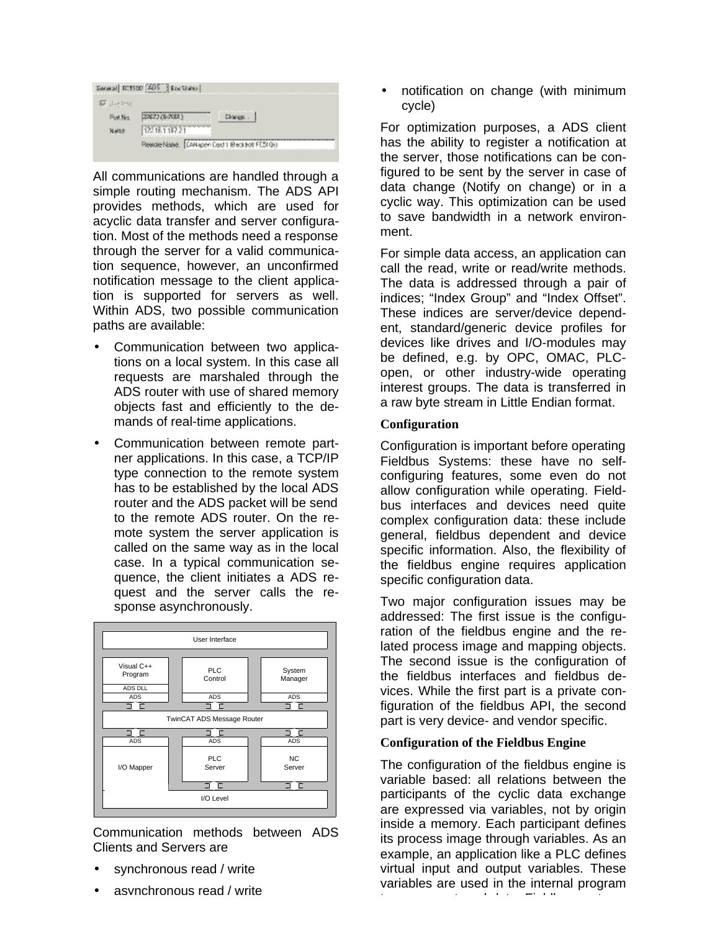|                  | Entral EC1100 [205] BocShino                     |  |  |
|------------------|--------------------------------------------------|--|--|
| <b>SECURITY:</b> |                                                  |  |  |
| Peal Net         | 2267218-20013                                    |  |  |
| Maldon           | 122161.117.21                                    |  |  |
|                  | Resorchiated, [CAN spen Card 1 @eckbolt FESt (b) |  |  |

All communications are handled through a simple routing mechanism. The ADS API provides methods, which are used for acyclic data transfer and server configuration. Most of the methods need a response through the server for a valid communication sequence, however, an unconfirmed notification message to the client application is supported for servers as well. Within ADS, two possible communication paths are available:

- Communication between two applications on a local system. In this case all requests are marshaled through the ADS router with use of shared memory objects fast and efficiently to the demands of real-time applications.
- Communication between remote partner applications. In this case, a TCP/IP type connection to the remote system has to be established by the local ADS router and the ADS packet will be send to the remote ADS router. On the remote system the server application is called on the same way as in the local case. In a typical communication sequence, the client initiates a ADS request and the server calls the response asynchronously.



Communication methods between ADS Clients and Servers are

- synchronous read / write
- asynchronous read / write

• notification on change (with minimum cycle)

For optimization purposes, a ADS client has the ability to register a notification at the server, those notifications can be configured to be sent by the server in case of data change (Notify on change) or in a cyclic way. This optimization can be used to save bandwidth in a network environment.

For simple data access, an application can call the read, write or read/write methods. The data is addressed through a pair of indices; "Index Group" and "Index Offset". These indices are server/device dependent, standard/generic device profiles for devices like drives and I/O-modules may be defined, e.g. by OPC, OMAC, PLCopen, or other industry-wide operating interest groups. The data is transferred in a raw byte stream in Little Endian format.

# **Configuration**

Configuration is important before operating Fieldbus Systems: these have no selfconfiguring features, some even do not allow configuration while operating. Fieldbus interfaces and devices need quite complex configuration data: these include general, fieldbus dependent and device specific information. Also, the flexibility of the fieldbus engine requires application specific configuration data.

Two major configuration issues may be addressed: The first issue is the configuration of the fieldbus engine and the related process image and mapping objects. The second issue is the configuration of the fieldbus interfaces and fieldbus devices. While the first part is a private configuration of the fieldbus API, the second part is very device- and vendor specific.

# **Configuration of the Fieldbus Engine**

The configuration of the fieldbus engine is variable based: all relations between the participants of the cyclic data exchange are expressed via variables, not by origin inside a memory. Each participant defines its process image through variables. As an example, an application like a PLC defines virtual input and output variables. These variables are used in the internal program to access external data. Fieldbus systems of the system of the system of the system of the system of the system of the system of the system of the system of the system of the system of the system of the system of the syste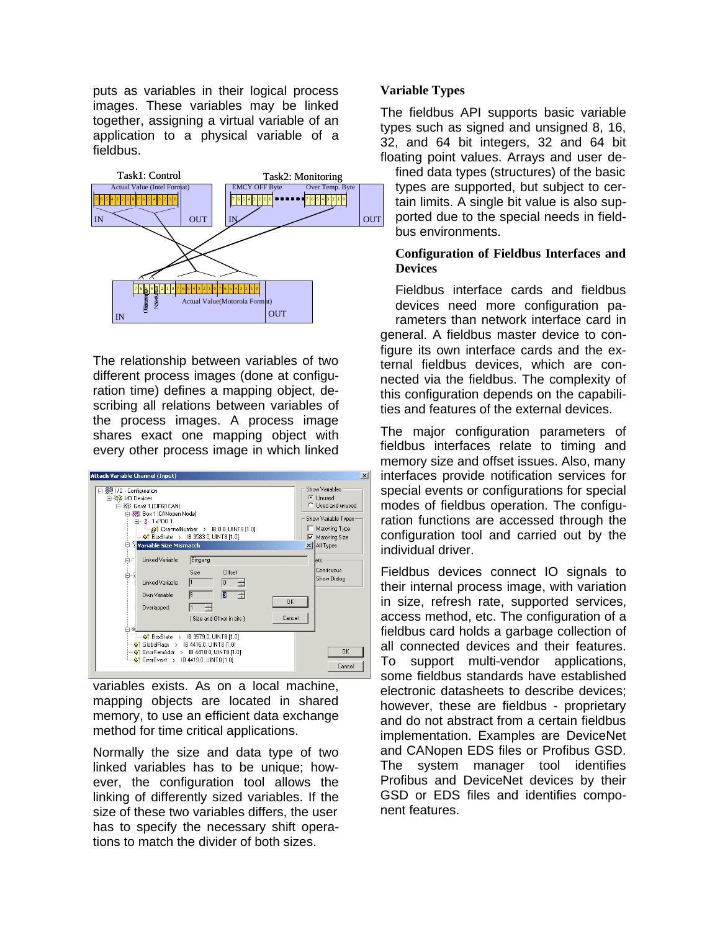puts as variables in their logical process images. These variables may be linked together, assigning a virtual variable of an application to a physical variable of a fieldbus.



The relationship between variables of two different process images (done at configuration time) defines a mapping object, describing all relations between variables of the process images. A process image shares exact one mapping object with every other process image in which linked

| <b>Attach Variable Channel (Input)</b>                                                                                                                                                                                                                                                               | $\vert x \vert$                                                                                                                                                                        |
|------------------------------------------------------------------------------------------------------------------------------------------------------------------------------------------------------------------------------------------------------------------------------------------------------|----------------------------------------------------------------------------------------------------------------------------------------------------------------------------------------|
| 日· ※ 1/0 - Configuration<br>白 ※ 1/0 Devices<br>白-黎 Gerät 1 (CIF60 CAN)<br>白 Box 1 (CANopen Node)<br>白 - 8 TxPD0 1<br><b>Example 1.0</b> ChannelNumber > IB 0.0, UINT8 [1.0]<br>$\leftarrow \bullet$ BoxState > IB 3583.0, UINT8 [1.0]<br>Variable Size Mismatch<br>自之<br>Linked Variable:<br>Eingang | Show Variables:<br><b>C</b> Unused<br><b>C</b> Lised and unused<br>Show Variable Types:<br>Matching Type<br><b>▽</b> Matching Size<br>$\times$ $\vert$ All Types<br>lets<br>Continuous |
| Size<br>Offset<br>Ė⊹ì<br>l1<br>Linked Variable:<br>÷<br>lo.<br>18<br>ß<br>족<br>flwn Variable:<br><b>OK</b><br>Overlapped:<br>Cancel<br>[Size and Offset in bits]<br>白器                                                                                                                               | Show Dialog                                                                                                                                                                            |
| $\leftarrow \bullet$ BoxState > IB 3579.0, UINT8 [1.0]<br>$\rightarrow$ GlobalFlags > IB 4416.0, UINT8 [1.0]<br>$\bullet$ ErrorRemAddr > IB 4418.0, UINT8 [1.0]<br>$\leftarrow \bigcirc$ † ErrorEvent > IB 4419.0, UINT8 [1.0]                                                                       | n <sub>K</sub><br>Cancel                                                                                                                                                               |

variables exists. As on a local machine, mapping objects are located in shared memory, to use an efficient data exchange method for time critical applications.

Normally the size and data type of two linked variables has to be unique; however, the configuration tool allows the linking of differently sized variables. If the size of these two variables differs, the user has to specify the necessary shift operations to match the divider of both sizes.

# **Variable Types**

The fieldbus API supports basic variable types such as signed and unsigned 8, 16, 32, and 64 bit integers, 32 and 64 bit floating point values. Arrays and user de-

fined data types (structures) of the basic types are supported, but subject to certain limits. A single bit value is also supported due to the special needs in fieldbus environments.

# **Configuration of Fieldbus Interfaces and Devices**

Fieldbus interface cards and fieldbus devices need more configuration parameters than network interface card in general. A fieldbus master device to configure its own interface cards and the external fieldbus devices, which are connected via the fieldbus. The complexity of this configuration depends on the capabilities and features of the external devices.

The major configuration parameters of fieldbus interfaces relate to timing and memory size and offset issues. Also, many interfaces provide notification services for special events or configurations for special modes of fieldbus operation. The configuration functions are accessed through the configuration tool and carried out by the individual driver.

Fieldbus devices connect IO signals to their internal process image, with variation in size, refresh rate, supported services, access method, etc. The configuration of a fieldbus card holds a garbage collection of all connected devices and their features. To support multi-vendor applications, some fieldbus standards have established electronic datasheets to describe devices; however, these are fieldbus - proprietary and do not abstract from a certain fieldbus implementation. Examples are DeviceNet and CANopen EDS files or Profibus GSD. The system manager tool identifies Profibus and DeviceNet devices by their GSD or EDS files and identifies component features.